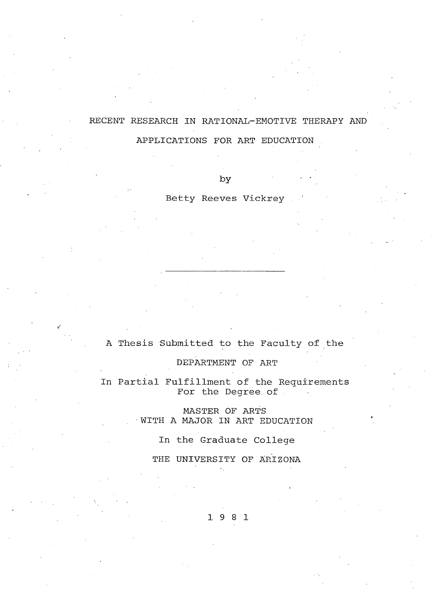# **RECENT RESEARCH IN RATIONAL-EMOTIVE THERAPY AND**

**APPLICATIONS FOR ART EDUCATION .**

**by ■ '**

**Betty Reeves Vickrey**

# **A Thesis Submitted to the Faculty of the**

**DEPARTMENT OF ART**

**In Partial Fulfillment of the Requirements For the Degree, of**

> **MASTER OF ARTS • WITH A MAJOR IN ART EDUCATION**

> > **In the Graduate College**

**THE UNIVERSITY OF ARIZONA**

**1 9 8 1**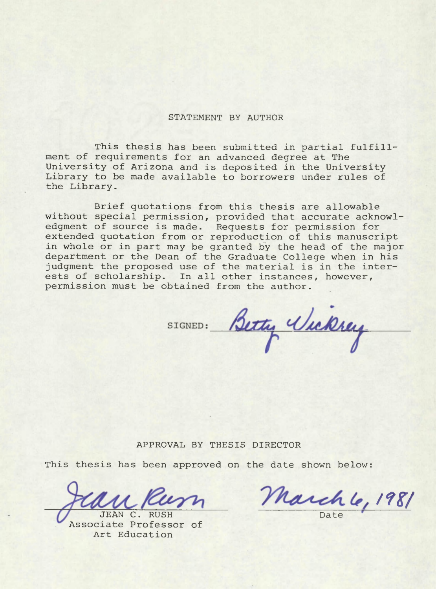#### **STATEMENT BY AUTHOR**

**This thesis has been submitted in partial fulfillment of requirements for an advanced degree at The University of Arizona and is deposited in the University Library to be made available to borrowers under rules of the Library.**

**Brief quotations from this thesis are allowable without special permission, provided that accurate acknowledgment of source is made. Requests for permission for extended quotation from or reproduction of this manuscript in whole or in part may be granted by the head of the major department or the Dean of the Graduate College when in his judgment the proposed use of the material is in the interests of scholarship. In all other instances, however, permission must be obtained from the author.**

SIGNED: Betty Wickrey

#### **APPROVAL BY THESIS DIRECTOR**

**This thesis has been approved on the date shown below:**

**JEAN C . RUSH Associate Professor of Art Education**

**/?#/**

**Date**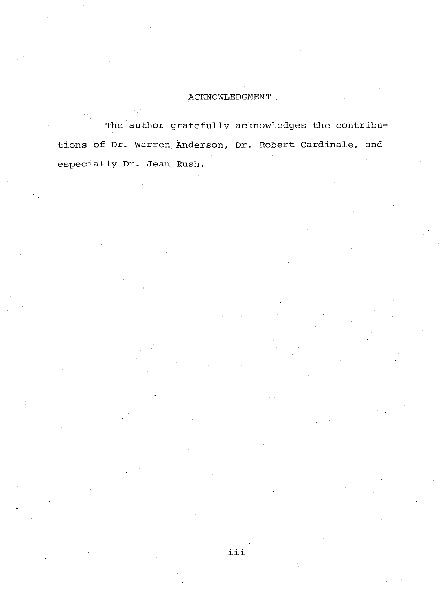# **ACKNOWLEDGMENT .**

**The author gratefully acknowledges the contribu^ tions of Dr. Warren Anderson, Dr. Robert Cardinale, and especially Dr. Jean Rush.**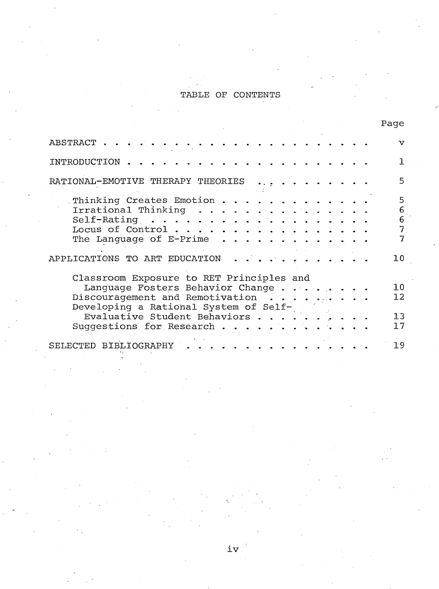# **TABLE OF CONTENTS**

|                                                                                                                                                                                                                       |  |  |  | Page                                |
|-----------------------------------------------------------------------------------------------------------------------------------------------------------------------------------------------------------------------|--|--|--|-------------------------------------|
| ABSTRACT.                                                                                                                                                                                                             |  |  |  | ٦T                                  |
| INTRODUCTION                                                                                                                                                                                                          |  |  |  |                                     |
| RATIONAL-EMOTIVE THERAPY THEORIES                                                                                                                                                                                     |  |  |  | Б,                                  |
| Thinking Creates Emotion.<br>Irrational Thinking .<br>.<br>$Self-Rating   $<br>Locus of Control<br>The Language of E-Prime<br>. <b>.</b><br>APPLICATIONS TO ART EDUCATION                                             |  |  |  | 5<br>6<br>6<br>7<br>10 <sup>°</sup> |
| Classroom Exposure to RET Principles and<br>Language Fosters Behavior Change<br>Discouragement and Remotivation<br>Developing a Rational System of Self-<br>Evaluative Student Behaviors.<br>Suggestions for Research |  |  |  | 10<br>12 <sup>°</sup><br>13<br>17   |
| BIBLIOGRAPHY<br>SELECTED                                                                                                                                                                                              |  |  |  | 19                                  |

**iv**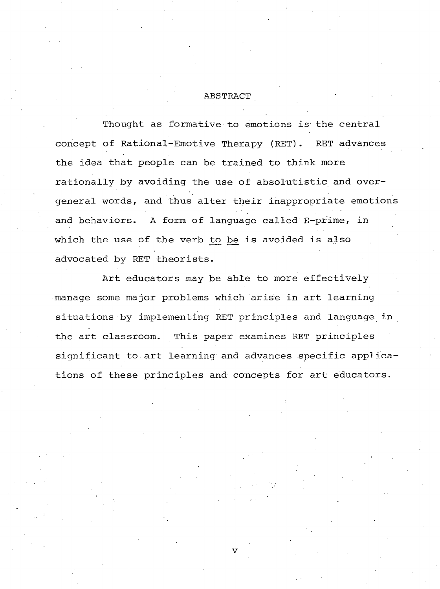#### **ABSTRACT**

**Thought as formative to emotions is the central concept of Rational-Emotive Therapy (RET). RET advances the idea that people can be trained to think more rationally by avoiding the use of absolutistic and overgeneral words, and thus alter their inappropriate emotions and behaviors. A form of language called E-prime, in which the use of the verb to be is avoided is also advocated by RET theorists.**

**Art educators may be able to more effectively manage some major problems which arise in art learning situations by implementing RET principles and language in the art classroom. This paper examines RET principles significant to art learning and advances specific applications of these principles and concepts for art educators.**

**v**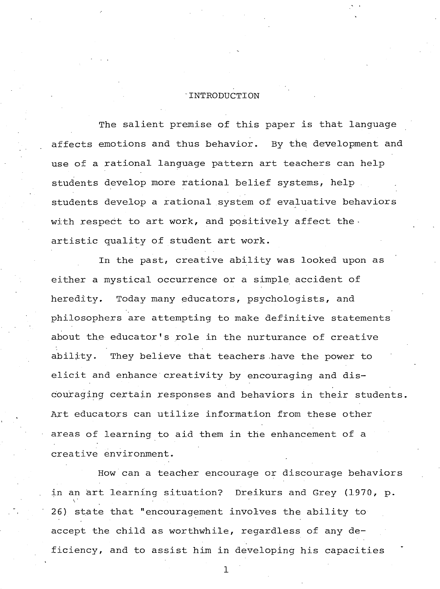# **INTRODUCTION**

**The salient premise of this paper is that language affects emotions and thus behavior. By the development and use of a rational language pattern art teachers can help students develop more rational belief systems, help . students develop a rational system of evaluative behaviors with respect to art work, and positively affect the artistic quality of student art work.**

**In the past, creative ability was looked upon as either a mystical occurrence or a simple accident of heredity. Today many educators, psychologists, and philosophers are attempting to make definitive statements about the educator's role in the nurturance of creative ability. They believe that teachers have the power to elicit and enhance creativity by encouraging and discouraging certain responses and behaviors in their students. Art educators can utilize information from these other areas of learning to aid them in the enhancement of a creative environment.**

**How can a teacher encourage or discourage behaviors in an art learning situation? Dreikurs and Grey (1970, p. 26) state that "encouragement involves the ability to accept the child as worthwhile, regardless of any deficiency, and to assist him in developing his capacities**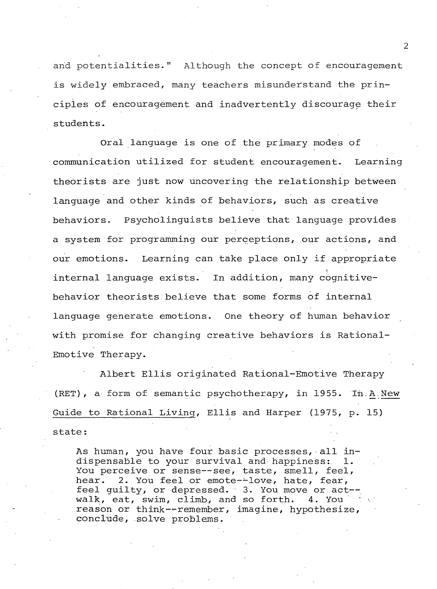**arid potentialities." Although the concept of encouragement is widely embraced, many teachers misunderstand the principles of encouragement and inadvertently discourage their students.**

**Oral language is one of the primary modes of communication utilized for student encouragement. Learning theorists are just now uncovering the relationship between language and other kinds of behaviors, such as creative behaviors. Psycholinguists believe that language provides a system for programming our perceptions, our actions, and our emotions. Learning can take place only if appropriate % internal language exists. In addition, many cognitivebehavior theorists believe that some forms of internal language generate emotions. One theory of human behavior with promise for changing creative behaviors is Rational-Emotive Therapy.**

**Albert Ellis originated Rational-Emotive Therapy (RET), a form of semantic psychotherapy, in 1955. In.A.New Guide to Rational Living, Ellis and Harper (1975, p. 15) state:**

**As human, you have four basic processes, all indispensable to your survival and happiness: 1. You perceive or sense— see, taste, smell, feel, hear. 2. You feel or emote--love, hate, fear, feel guilty, or depressed. 3. You move or act-** walk, eat, swim, climb, and so forth. 4. You **reason or think-^-remember, imagine, hypothesize, conclude, solve problems.**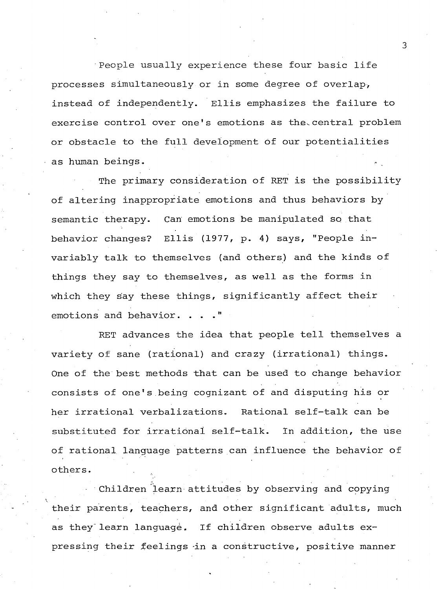**People usually experience these four basic life processes simultaneously or in some degree of overlap, instead of independently. Ellis emphasizes the failure to** exercise control over one's emotions as the central problem **or obstacle to the full development of our potentialities as human beings. .»**

**The primary consideration of RET is the possibility of altering inappropriate emotions and thus behaviors by semantic therapy. Can emotions be manipulated so that behavior changes? Ellis (1977, p. 4) says, "People invariably talk to themselves (and others) and the kinds of things they say to themselves, as well as the forms in which they say these things, significantly affect their emotions and behavior. . . ."**

**RET advances the idea that people tell themselves a variety of sane (rational) and crazy (irrational) things. One of the best methods that can be used to change behavior consists of one's being cognizant of and disputing his or her irrational verbalizations. Rational self-talk can be substituted for irrational self-talk. in addition, the use of rational language patterns can influence the behavior of others.**

**Children learn attitudes by observing and copying their parents, teachers, and other significant adults, much as they learn language. If children observe adults expressing their feelings -in a constructive, positive manner**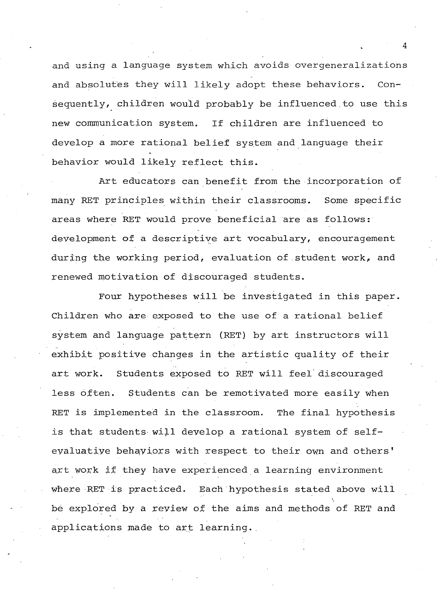**and using a language system which avoids overgeneralizations and absolutes they will likely adopt these behaviors. Consequently, children would probably be influenced.to use this new communication system. If children are influenced to develop a more rational belief system and language their behavior would likely reflect this.**

**Art educators can benefit from the incorporation of many RET principles within their classrooms, Some specific areas where RET would prove beneficial are as follows: development of a descriptive art vocabulary, encouragement during the working period, evaluation of student work, and renewed motivation of discouraged students.**

**Four hypotheses will be investigated in this paper. Children who are exposed to the use of a rational belief system and language pattern (RET) by art instructors will exhibit positive changes in the artistic quality of their art work. Students exposed to RET will feel discouraged less often. Students can be remotivated more easily when RET is implemented in the classroom. The final hypothesis is that students will develop a rational system of selfeyaluative behaviors with respect to their own and others' art work if they have experienced a learning environment where RET is practiced. Each hypothesis stated above will be explored by a review of the aims and methods of RET and applications made to art learning..**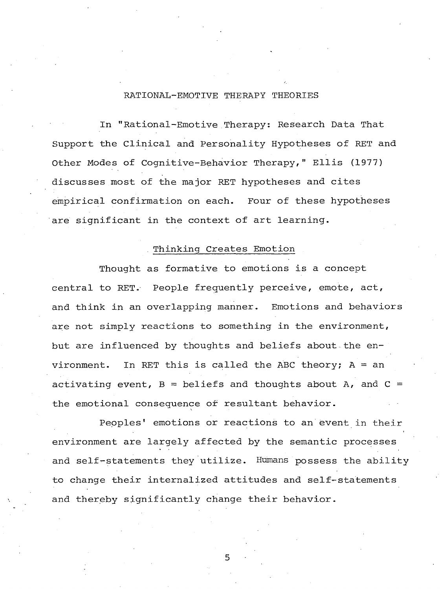# **RATIONAL-EMOTIVE THERAPY THEORIES**

**In "Rational-Emotive Therapy: Research Data That Support the Clinical and Personality Hypotheses of RET and Other Modes of Cognitive-Behavior Therapy," Ellis (1977) discusses most of the major RET hypotheses and cites empirical confirmation on each. Four of these hypotheses are significant in the context of art learning.**

#### **Thinking Creates Emotion**

**Thought as formative to emotions is a concept central to RET. People frequently perceive, emote, act, and think in an overlapping manner. Emotions and behaviors are not simply reactions to something in the environment, but are influenced by thoughts and beliefs about the environment. In RET this is called the ABC theory; A = an activating event, B = beliefs and thoughts about A, and C = the emotional consequence of resultant behavior.**

**Peoples' emotions or reactions to an event in their environment are largely affected by the semantic processes and self-statements they utilize. Humans possess the ability to change their internalized attitudes and self-statements and thereby significantly change their behavior.**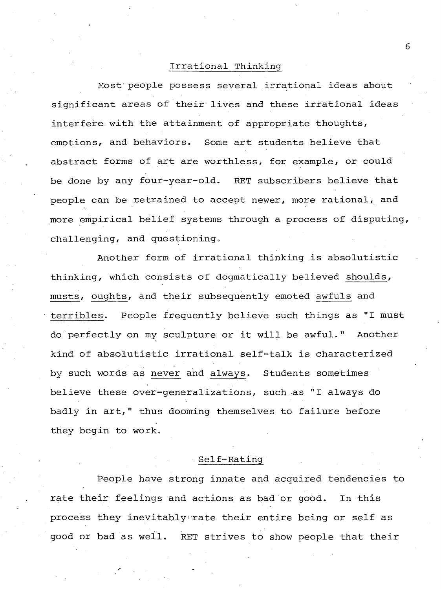# **Irrational Thinking**

**Most' people possess several irrational ideas about significant areas of their lives and these irrational ideas interfere. with the attainment of appropriate thoughts, emotions, and behaviors. Some art students believe that abstract forms of art are worthless, for example, or could be done by any four-year-old. RET subscribers believe that people can be retrained to accept newer, more rational, and more empirical belief systems through a process of disputing, challenging, and questioning.**

**Another form of irrational thinking is absolutistic thinking, which consists of dogmatically believed shoulds, musts, oughts, and their subsequently emoted awfuls and terribles. People frequently believe such things as "I must do perfectly on my sculpture or it will be awful." Another kind of absolutistic irrational self-talk is characterized by such words as never and always. Students sometimes believe these over-generalizations, such as "I always do badly in art," thus dooming themselves to failure before they begin to work.**

#### **Self-Rating**

**People have strong innate and acquired tendencies to rate their feelings and actions as bad or good. In this process they inevitably;rate their entire being or self as good or bad as well. RET strives to show people that their**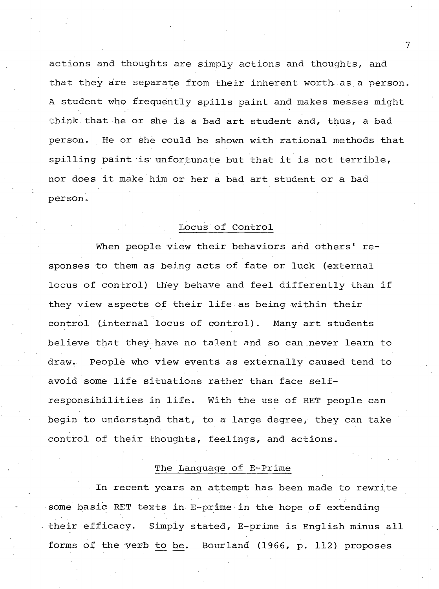**actions and thoughts are simply actions and thoughts, and** that they are separate from their inherent worth as a person. **A student who frequently spills paint and makes messes might think.that he or she is a bad art student and, thus, a bad person. He or she could be shown with rational methods that spilling paint is unfortunate but that it is not terrible, nor does it make him or her a bad art student or a bad person.**

## **Locus Of Control**

**When people view their behaviors and others' responses to them as being acts of fate or luck (external locus of control) they behave and feel differently than if they view aspects of their life as being within their control (internal locus of control). Many art students believe that they have no talent and so can never learn to draw. People who view events as externally caused tend to avoid some life situations rather than face selfresponsibilities in life. With the use of RET people can begin to understand that, to a large degree, they can take control of their thoughts, feelings, and actions.**

# **The Language of E-Prime**

**In recent years an attempt has been made to rewrite some basic RET texts, in E-prime•in the hope of extending ■ their efficacy. Simply stated, E-prime is English minus all forms of the verb to be. Bourland (1966, p. 112) proposes**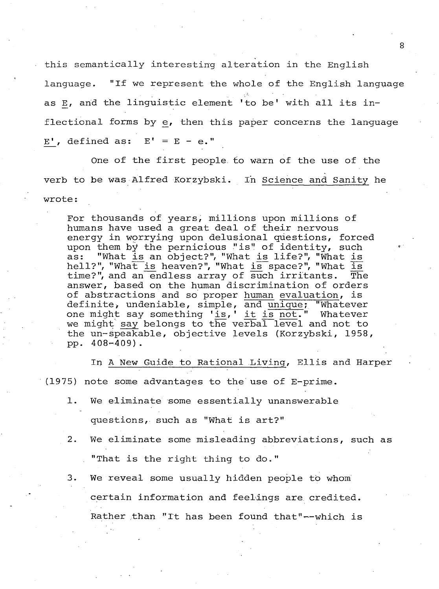**this semantically interesting alteration in the English language. "If we represent the whole of the English language as E, and the linguistic element 'to be' with all its inflectional forms by e, then this paper concerns the language**  $E'$ , defined as:  $E' = E - e$ ."

**One of the first people, to warn of the use of the verb to be was Alfred Korzybski. In Science and Sanity he wrote:**

**For thousands of years, millions upon millions of humans have used a great deal of their nervous energy in worrying upon delusional questions, forced** upon them by the pernicious "is" of identity, such<br>as: "What is an object?", "What is life?", "What is "What is an object?", "What is life?", "What is hell?", "What is heaven?", "What is space?", "What is<br>time?", and an endless array of such irritants. The time?", and an endless array of such irritants. **answer, based on the human discrimination of orders of abstractions and so proper human evaluation, is definite\* undeniable, simple, and unique; "Whatever one might say something 'is., ' it \_is not. " Whatever we might say belongs to the verbal level and not to the un-Speakable, objective levels (Korzybski, 1958, pp. 4 08-409) .**

**In A New Guide to Rational Living, Ellis and Harper (1975) note some advantages to the use of E-prime.**

- **1. We eliminate some essentially unanswerable questions, such as "What is art?"**
- **2. We eliminate some misleading abbreviations, such as . "That is the right thing to do."**
- **3. We reveal some usually hidden people to whom certain information and feelings are credited. Rather than "It has been found that"'— which is**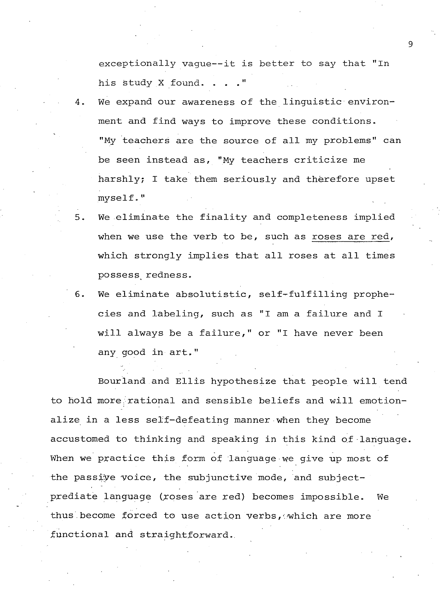**exceptionally vague— it is better to say that "In his study X found. ..."**

- We expand our awareness of the linguistic environ**ment and find ways to improve these conditions. "My teachers are the source of all my problems" can be seen instead as, "My teachers criticize me harshly; I take them seriously and therefore upset myself."**
- **5. We eliminate the finality and completeness implied when we use the verb to be, such as roses are red, which strongly implies that all roses at all times possess^ redness.**
- **6. We eliminate absolutistic, self-fulfilling prophecies and labeling, such as "I am a failure and I will always be a failure," or "I have never been any good in art."**

**Bourland and Ellis hypothesize that people will tend to hold more.rational and sensible beliefs and will emotionalize in a less self-defeating manner when they become accustomed to thinking and speaking in this kind of language When we practice this form of language we give up most of** the passive voice, the subjunctive mode, and subjectprediate language (roses are red) becomes impossible. We **thus.become forced to use action verbs,./which are more functional and straightforward.**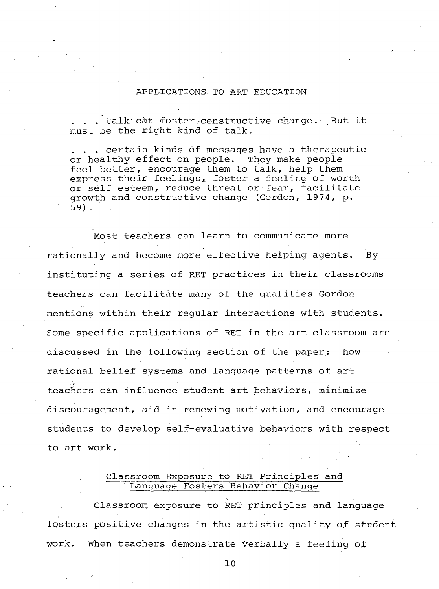#### **APPLICATIONS TO ART EDUCATION**

**. . " talk; ain fOBter. constructive change. ■. But it must be the right kind of talk.**

**. . . certain kinds of messages have a therapeutic or healthy effect on people. They make people feel better, encourage them to talk, help them express their feelings,, foster a feeling of worth or self-esteem, reduce threat or fear, facilitate growth and constructive change (Gordon, 1974, p. 59) .**

**Most teachers can learn to communicate more rationally and become more effective helping agents. By instituting a series of RET practices in their classrooms teachers can facilitate many of the qualities Gordon mentions within their regular interactions with students. Some specific applications of RET in the art classroom are discussed in the following section of the paper: how rational belief systems and language patterns of art teachers can influence student art behaviors, minimize discouragement, aid in renewing motivation, and encourage students to develop self-evaluative behaviors with respect to art work.**

# **Classroom Exposure to RET Principles and Language Fosters Behavior Change**

**\ Classroom exposure to RET principles and language fosters positive changes in the artistic quality of student work. When teachers demonstrate Verbally a feeling of**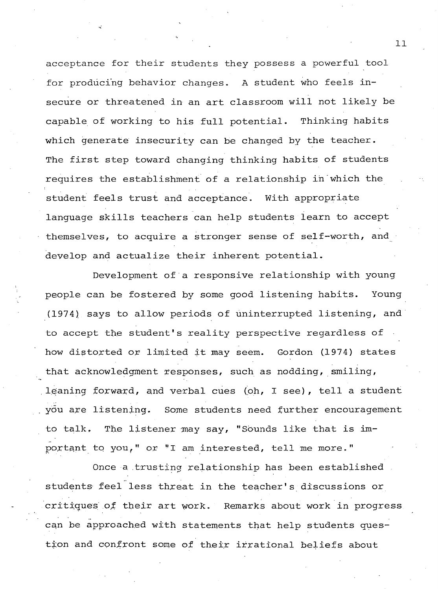**acceptance for their students they possess a powerful tool for producing behavior changes. A student who feels insecure or threatened in an art classroom will not likely be capable of working to his full potential. Thinking habits which generate insecurity can be changed by the teacher. The first step toward changing thinking habits of students requires the establishment of a relationship in which the student feels trust and acceptance. With appropriate language skills teachers can help students learn to accept themselves, to acquire a stronger sense of self-worth, and develop and actualize their inherent potential.**

**Development of a responsive relationship with young people can be fostered by some good listening habits. Young (1974) says to allow periods of uninterrupted listening, and to accept the student's reality perspective regardless of** how distorted or limited it may seem. Gordon (1974) states **that acknowledgment responses, such as nodding, smiling, leaning forward, and verbal cues (ph, I see), tell a student ydu are listening. Some students need further encouragement to talk, The listener may say, "Sounds like that is important to you," or "I am interested, tell me more."**

**Once a trusting relationship has been established students feel less threat in the teacher's discussions or** critiques of their art work. Remarks about work in progress **can be approached with statements that help students question and confront some of their irrational beliefs about**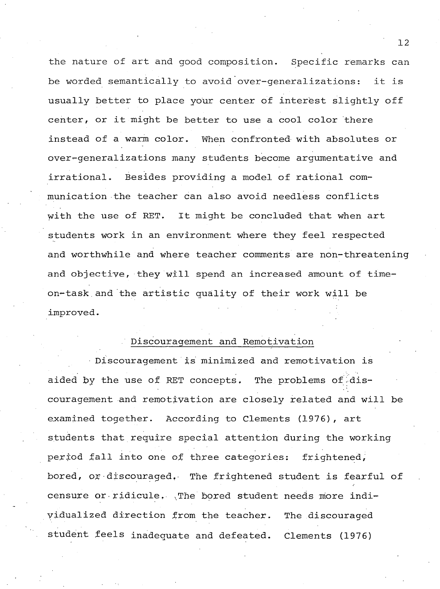**the nature of art and good composition. Specific remarks can be worded semantically to avoid over-generalizations: it is usually better to place your center of interest slightly off center, or it might be better to use a cool color there instead of a warm color. When confronted with absolutes or over-generalizations many students become argumentative and irrational. Besides providing a model of rational communication the teacher can also avoid needless conflicts with the use of RET. It might be concluded that when art students work in an environment where they feel respected and worthwhile and where teacher comments are non-threatening and objective, they will spend an increased amount of timeon-task and the artistic quality of their work will be improved.**

## **Discouragement and Remotivation**

**Discouragement is minimized and remotivation is** aided by the use of RET concepts. The problems of dis**couragement and remotivation are closely related and will be examined together. According to Clements (1976), art students that require special attention during the working period fall into one of three categories: frightened, bored, or discouraged. The frightened student is fearful of censure or ridicule, xThe bored student needs more individualized direction from the teacher. The discouraged student feels inadequate and defeated. Clements (1976)**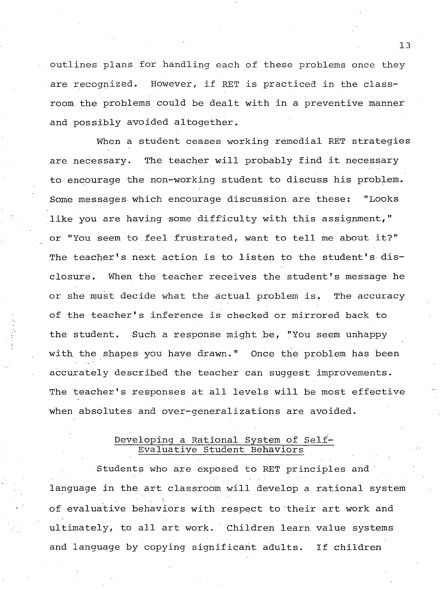**outlines plans for handling each of these problems once they are recognized. However, if RET is practiced in the classroom the problems could be dealt with in a preventive manner and possibly avoided altogether,**

**When a student ceases working remedial RET strategies are necessary. The teacher will probably find it necessary to encourage the non-working student to discuss his problem. Some messages which encourage discussion.are these: "Looks like you are having some difficulty with this assignment," or "You seem to feel frustrated, want to tell me about it?" The teacher's next action is to listen to the student's disclosure, When the teacher receives the student's message he or she must decide what the actual problem is. The accuracy of the teacher's inference is checked or mirrored back to the student. Such, a response might be, "You seem unhappy with, the shapes you have drawn." Once the problem has been accurately described the teacher can suggest improvements. The teacher's responses at all levels will be most effective when absolutes and over—generalizations are avoided.**

# **Developing a Rational System of Self-Evaluative Student Behaviors**

**Students who are exposed to RET principles and language in the art classroom will develop a rational system of evaluative behaviors with respect to their art work and ultimately, to all art work. Children learn value systems and language by copying significant adults. If children**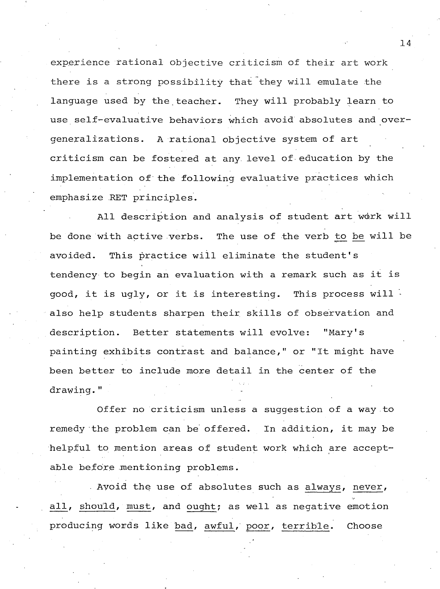**experience rational objective criticism of their art work** there is a strong possibility that they will emulate the **language used by the teacher. They will probably learn to use self-evaluative behaviors which avoid absolutes and overgeneralizations . A rational objective system of art criticism can be fostered at any level of education by the implementation of the following evaluative practices which emphasize RET principles.**

**All description and analysis of student art work will be done with active verbs. The use of the verb to be^ will be avoided. This practice will eliminate the student's tendency to begin an evaluation with a remark such as it is good, it is ugly, or it is interesting. This process will also help students sharpen their skills of observation and description. Better statements will evolve: "Mary's painting exhibits contrast and balance," or "It might have been better to include more detail in the center of the** drawing."

**Offer no criticism unless a suggestion of a way to remedy the problem can be offered. In addition, it may be helpful to mention areas of student work which are acceptable before mentioning problems.**

**Avoid the use of absolutes such as always, never, all, should, must, and ought; as well as negative emotion** producing words like bad, awful, poor, terrible. Choose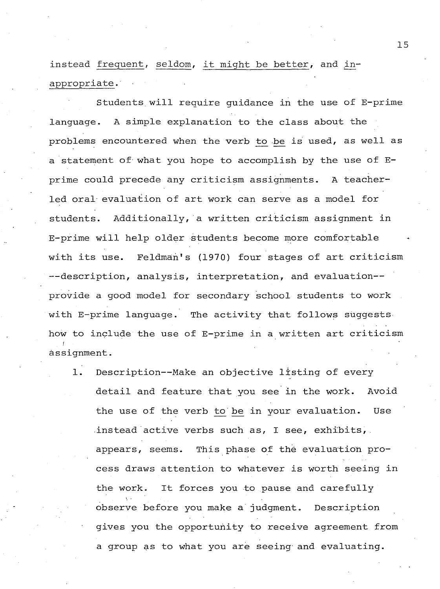**instead frequent, seldom, it might be better, and inappropriate .'**

**Students, will require guidance in the use of E-prime language. A simple explanation to the class about the problems encountered when the verb to be is used, as well as a statement of what you hope to accomplish by the use of Eprime could precede any criticism assignments. A teacherled oral evaluation of art work can serve as a model for students. Additionally, a written criticism assignment in E-prime will help older students become more comfortable with its use. Feldman's (1970) four stages of art criticism --description, analysis, interpretation, and evaluation provide a good model for secondary school students to work with E-prime language. The activity that follows suggests how to include the use of E-prime in a written art criticism** *!* **assignment.**

**1. Description--Make an objective listing of every detail and feature that you see in the work. Avoid the use of the verb to be in your evaluation. Use instead active verbs such as, I see, exhibits,. appears, seems. This phase of the evaluation process draws attention to whatever is worth seeing in the work. It forces you to pause and carefully observe before you make a judgment. Description gives you the opportunity to receive agreement from a group as to what you are seeing and evaluating.**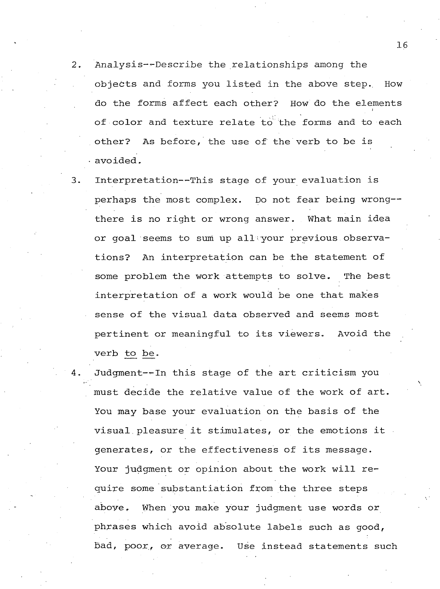- $2.$ **Analysis-'-Describe the relationships among the objects and forms you listed in the above step.. How do the forms affect each other? How do the elements of color and texture relate to the forms and to each other? As before, the use of the verb to be is avoided.**
- $3.$ **Interpretation--This stage of your evaluation is perhaps the most complex. Do not fear being wrong there is no right or wrong answer. What main idea or goal seems to sum up allvyour previous observations? An interpretation can be the statement of some problem the work attempts to solve. The best interpretation of a work would be one that makes sense of the visual data observed and seems most pertinent or meaningful to its viewers. Avoid the verb to be.**
- **Judgment--In this stage of the art criticism you must decide the relative value of the work of art. You may base your evaluation on the basis of the visual pleasure it stimulates, or the emotions it generates, or the effectiveness of its message. Your judgment or opinion about the work will require some substantiation from the three steps above, When you make your judgment use words or phrases which avoid absolute labels such as good, bad, poor., or average. Use instead statements such**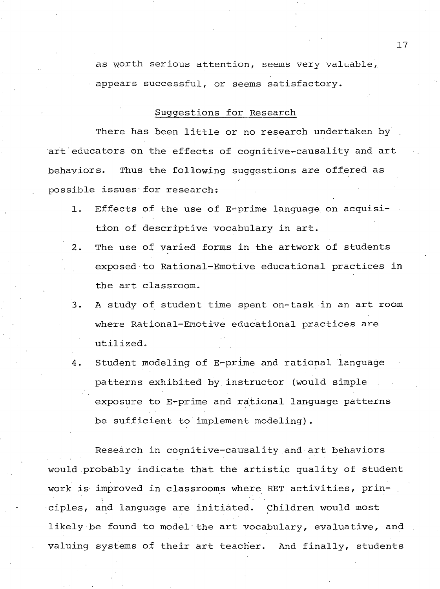**as worth serious attention, seems very valuable, • appears successful, or seems satisfactory.**

#### **Suggestions for Research**

**There has been little or no research undertaken by art'educators on the effects of cognitive^causality and art behaviors. Thus the following suggestions are offered as possible issues for research:**

- **1. Effects of the use of E-prime language on acquisition of descriptive vocabulary in art.**
- **2. The use of varied forms in the artwork of students exposed to Rational-Emotive educational practices in the art classroom.**
- **3. A study of student time spent on-task in an art room where Rational-Emotive educational practices are utilized.**
- **4. Student modeling of E-prime and rational language patterns exhibited by instructor (would simple exposure to E-prime and rational language patterns be sufficient to implement modeling).**

**Research in cognitive-causality and art behaviors would probably indicate that the artistic quality of student work is improved in classrooms where RET activities, prin- . ciples, and language are initiated. Children would most likely be found to model the art vocabulary, evaluative, and valuing systems of their art teacher. And finally, students**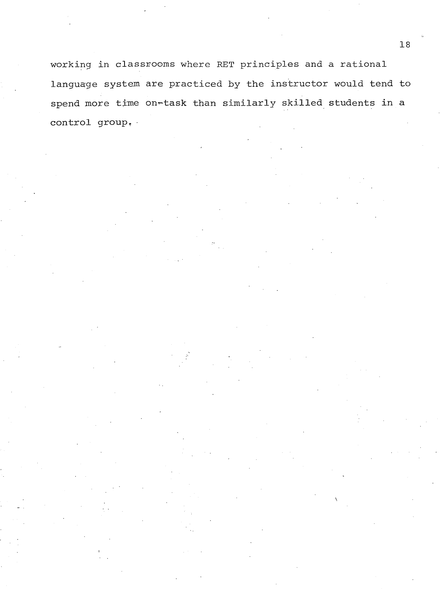**working in classrooms where RET principles and a rational language system are practiced by the instructor would tend to spend more time on^task than similarly skilled students in a control group. •**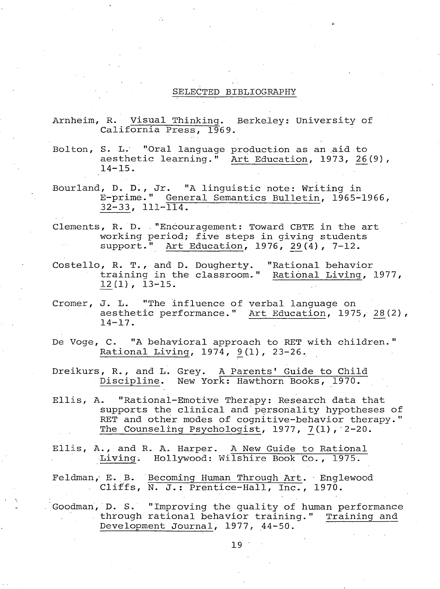#### **SELECTED BIBLIOGRAPHY**

- **Arnheim, R. Visual Thinking. Berkeley: University of** California Press, 1969.
- **Bolton, S. L. "Oral language production as an aid to aesthetic learning." Art Education, 1973, 26 (9) , 14-15.**
- Bourland, D. D., Jr. "A linguistic note: Writing in **E-prime." General Semantics Bulletin, 1965-1966 , 32-33, 111-114.**
- Clements, R. D. "Encouragement: Toward CBTE in the art **working period; five steps in giving students** support." Art Education, 1976, 29(4), 7-12.
- **Costello, R. T. , and D. Dougherty. "Rational behavior training in the classroom." Rational Living, 1977, L2 (1), 13-15.**
- **Cromer, J. L. "The influence of verbal language on aesthetic performance." Art Education, 1975, 28(2), 14-17.**
- **De Voge, C. "A behavioral approach to RET with children." Rational Living, 1974, 9\_(1) , 23-26.**
- **Dreikurs, R., and L. Grey. A Parents' Guide to Child** Discipline. New York: Hawthorn Books, 1970.
- **Ellis, A. "Rational-Emotive Therapy: Research data that supports the clinical and personality hypotheses of RET and other modes of cognitive-behavior therapy." The Counseling Psychologist, 1977, 7^(1),'2-20.**
- **Ellis, A., and R. A. Harper. A New Guide to Rational Living. Hollywood: Wilshire Book Co., 1975.**
- Feldman, E. B. Becoming Human Through Art. Englewood Cliffs, N. J.: Prentice-Hall, Inc., 1970.
- **Goodman, D. S. "Improving the quality of human performance through rational behavior training." Training and Development Journal, 1977, 44-50.**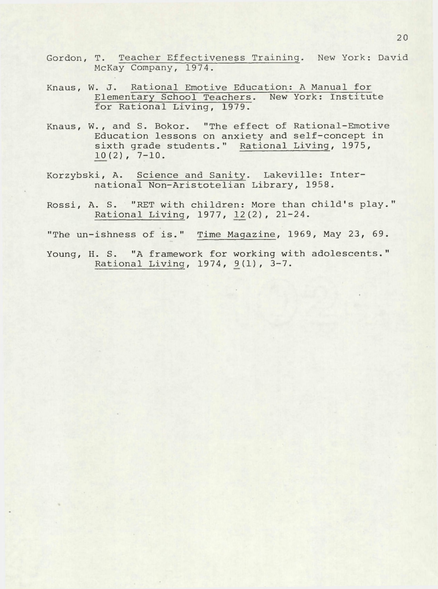- **Gordon, T. Teacher Effectiveness Training. New York: David McKay Company, 1974.**
- **Knaus, W. J. Rational Emotive Education: A Manual for Elementary School Teachers. New York: Institute for Rational Living, 1979.**
- **Knaus, W . , and S. Bokor. "The effect of Rational-Emotive Education lessons on anxiety and self-concept in** sixth grade students." Rational Living, 1975, **10(2), 7-10.**
- **Korzybski, A. Science and Sanity. Lakeville: International Non-Aristotelian Library, 1958.**
- **Rossi, A. S. "RET with children: More than child's play." Rational Living, 1977, 1\_2 (2) , 21-24.**
- **"The un-ishness of is." Time Magazine, 1969, May 23, 69.**
- **Young, H. S. "A framework for working with adolescents."** Rational Living, 1974, 9(1), 3-7.